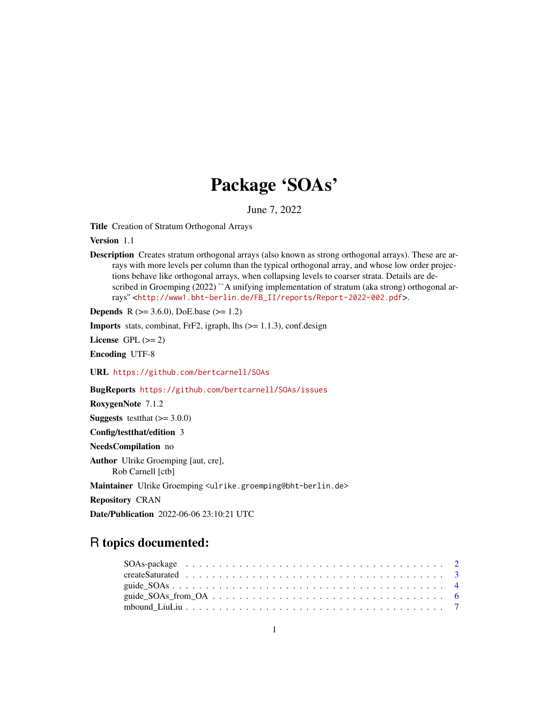# Package 'SOAs'

June 7, 2022

<span id="page-0-0"></span>Title Creation of Stratum Orthogonal Arrays

Version 1.1

Description Creates stratum orthogonal arrays (also known as strong orthogonal arrays). These are arrays with more levels per column than the typical orthogonal array, and whose low order projections behave like orthogonal arrays, when collapsing levels to coarser strata. Details are described in Groemping (2022) ``A unifying implementation of stratum (aka strong) orthogonal arrays'' <[http://www1.bht-berlin.de/FB\\_II/reports/Report-2022-002.pdf](http://www1.bht-berlin.de/FB_II/reports/Report-2022-002.pdf)>.

**Depends** R ( $>= 3.6.0$ ), DoE.base ( $>= 1.2$ )

**Imports** stats, combinat, FrF2, igraph, lhs  $(>= 1.1.3)$ , conf.design

License GPL  $(>= 2)$ 

Encoding UTF-8

URL <https://github.com/bertcarnell/SOAs>

BugReports <https://github.com/bertcarnell/SOAs/issues>

RoxygenNote 7.1.2

**Suggests** testthat  $(>= 3.0.0)$ 

Config/testthat/edition 3

NeedsCompilation no

Author Ulrike Groemping [aut, cre],

Rob Carnell [ctb]

Maintainer Ulrike Groemping <ulrike.groemping@bht-berlin.de>

Repository CRAN

Date/Publication 2022-06-06 23:10:21 UTC

## R topics documented: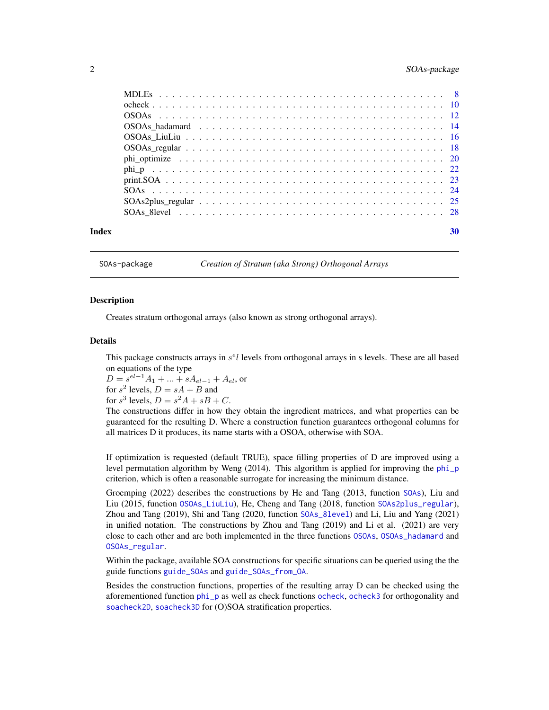### <span id="page-1-0"></span>2 SOAs-package 3 SOAs-package 3 SOAs-package 3 SOAs-package 3 SOAs-package 3 SOAs-package 3 SOAs-package 3 SOAs-package 3 SOAs-package 3 SOAs-package 3 SOAs-package 3 SOAs-package 3 SOAs-package 3 SOAs-package 3 SOAs-packa

| Index | 30 |
|-------|----|
|       |    |

<span id="page-1-1"></span>SOAs-package *Creation of Stratum (aka Strong) Orthogonal Arrays*

#### **Description**

Creates stratum orthogonal arrays (also known as strong orthogonal arrays).

#### Details

This package constructs arrays in  $s<sup>e</sup>l$  levels from orthogonal arrays in s levels. These are all based on equations of the type

 $D = s^{el-1}A_1 + ... + sA_{el-1} + A_{el}$ , or for  $s^2$  levels,  $D = sA + B$  and for  $s^3$  levels,  $D = s^2A + sB + C$ .

The constructions differ in how they obtain the ingredient matrices, and what properties can be guaranteed for the resulting D. Where a construction function guarantees orthogonal columns for all matrices D it produces, its name starts with a OSOA, otherwise with SOA.

If optimization is requested (default TRUE), space filling properties of D are improved using a level permutation algorithm by Weng (2014). This algorithm is applied for improving the [phi\\_p](#page-21-1) criterion, which is often a reasonable surrogate for increasing the minimum distance.

Groemping (2022) describes the constructions by He and Tang (2013, function [SOAs](#page-23-1)), Liu and Liu (2015, function [OSOAs\\_LiuLiu](#page-15-1)), He, Cheng and Tang (2018, function [SOAs2plus\\_regular](#page-24-1)), Zhou and Tang (2019), Shi and Tang (2020, function [SOAs\\_8level](#page-27-1)) and Li, Liu and Yang (2021) in unified notation. The constructions by Zhou and Tang (2019) and Li et al. (2021) are very close to each other and are both implemented in the three functions [OSOAs](#page-11-1), [OSOAs\\_hadamard](#page-13-1) and [OSOAs\\_regular](#page-17-1).

Within the package, available SOA constructions for specific situations can be queried using the the guide functions [guide\\_SOAs](#page-3-1) and [guide\\_SOAs\\_from\\_OA](#page-5-1).

Besides the construction functions, properties of the resulting array D can be checked using the aforementioned function [phi\\_p](#page-21-1) as well as check functions [ocheck](#page-9-1), [ocheck3](#page-9-2) for orthogonality and [soacheck2D](#page-9-2), [soacheck3D](#page-9-2) for (O)SOA stratification properties.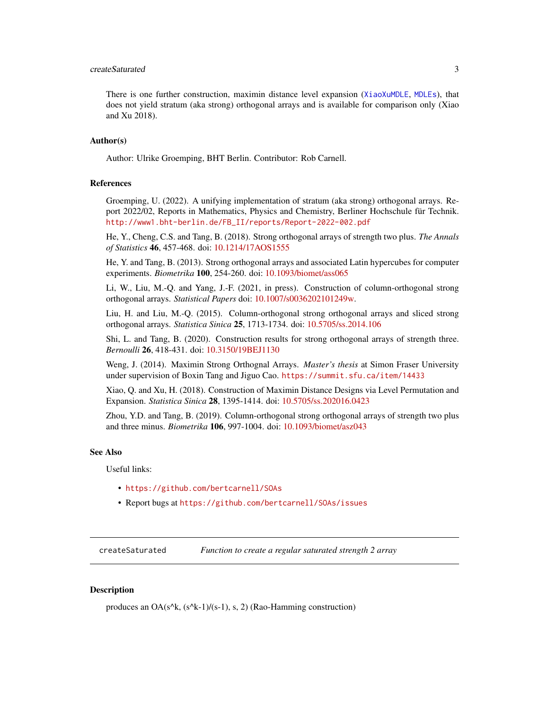### <span id="page-2-0"></span>createSaturated 3

There is one further construction, maximin distance level expansion ([XiaoXuMDLE](#page-0-0), [MDLEs](#page-7-1)), that does not yield stratum (aka strong) orthogonal arrays and is available for comparison only (Xiao and Xu 2018).

#### Author(s)

Author: Ulrike Groemping, BHT Berlin. Contributor: Rob Carnell.

### References

Groemping, U. (2022). A unifying implementation of stratum (aka strong) orthogonal arrays. Report 2022/02, Reports in Mathematics, Physics and Chemistry, Berliner Hochschule für Technik. [http://www1.bht-berlin.de/FB\\_II/reports/Report-2022-002.pdf](http://www1.bht-berlin.de/FB_II/reports/Report-2022-002.pdf)

He, Y., Cheng, C.S. and Tang, B. (2018). Strong orthogonal arrays of strength two plus. *The Annals of Statistics* 46, 457-468. doi: [10.1214/17AOS1555](https://doi.org/10.1214/17-AOS1555)

He, Y. and Tang, B. (2013). Strong orthogonal arrays and associated Latin hypercubes for computer experiments. *Biometrika* 100, 254-260. doi: [10.1093/biomet/ass065](https://doi.org/10.1093/biomet/ass065)

Li, W., Liu, M.-Q. and Yang, J.-F. (2021, in press). Construction of column-orthogonal strong orthogonal arrays. *Statistical Papers* doi: [10.1007/s0036202101249w.](https://doi.org/10.1007/s00362-021-01249-w)

Liu, H. and Liu, M.-Q. (2015). Column-orthogonal strong orthogonal arrays and sliced strong orthogonal arrays. *Statistica Sinica* 25, 1713-1734. doi: [10.5705/ss.2014.106](https://doi.org/10.5705/ss.2014.106)

Shi, L. and Tang, B. (2020). Construction results for strong orthogonal arrays of strength three. *Bernoulli* 26, 418-431. doi: [10.3150/19BEJ1130](https://doi.org/10.3150/19-BEJ1130)

Weng, J. (2014). Maximin Strong Orthognal Arrays. *Master's thesis* at Simon Fraser University under supervision of Boxin Tang and Jiguo Cao. <https://summit.sfu.ca/item/14433>

Xiao, Q. and Xu, H. (2018). Construction of Maximin Distance Designs via Level Permutation and Expansion. *Statistica Sinica* 28, 1395-1414. doi: [10.5705/ss.202016.0423](https://doi.org/10.5705/ss.202016.0423)

Zhou, Y.D. and Tang, B. (2019). Column-orthogonal strong orthogonal arrays of strength two plus and three minus. *Biometrika* 106, 997-1004. doi: [10.1093/biomet/asz043](https://doi.org/10.1093/biomet/asz043)

#### See Also

Useful links:

- <https://github.com/bertcarnell/SOAs>
- Report bugs at <https://github.com/bertcarnell/SOAs/issues>

<span id="page-2-1"></span>createSaturated *Function to create a regular saturated strength 2 array*

#### Description

produces an OA( $s^k$ ,  $(s^k-1)/(s-1)$ , s, 2) (Rao-Hamming construction)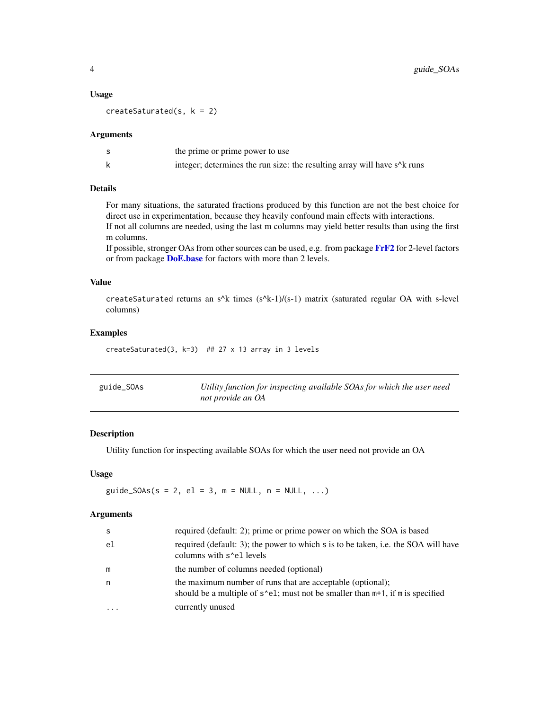#### Usage

createSaturated(s,  $k = 2$ )

#### **Arguments**

| the prime or prime power to use                                                                        |
|--------------------------------------------------------------------------------------------------------|
| integer; determines the run size: the resulting array will have s <sup><math>\Delta</math>k</sup> runs |

### Details

For many situations, the saturated fractions produced by this function are not the best choice for direct use in experimentation, because they heavily confound main effects with interactions. If not all columns are needed, using the last m columns may yield better results than using the first m columns.

If possible, stronger OAs from other sources can be used, e.g. from package [FrF2](#page-0-0) for 2-level factors or from package **[DoE.base](#page-0-0)** for factors with more than 2 levels.

### Value

createSaturated returns an s^k times  $(s^k-1)/(s-1)$  matrix (saturated regular OA with s-level columns)

### Examples

createSaturated(3, k=3) ## 27 x 13 array in 3 levels

<span id="page-3-1"></span>

| guide_SOAs | Utility function for inspecting available SOAs for which the user need |
|------------|------------------------------------------------------------------------|
|            | not provide an OA                                                      |

### Description

Utility function for inspecting available SOAs for which the user need not provide an OA

### Usage

guide\_SOAs(s = 2, el = 3, m = NULL, n = NULL, ...)

### Arguments

| <sub>S</sub> | required (default: 2); prime or prime power on which the SOA is based                                                                             |
|--------------|---------------------------------------------------------------------------------------------------------------------------------------------------|
| el.          | required (default: 3); the power to which s is to be taken, i.e. the SOA will have<br>columns with s <sup>1</sup> el levels                       |
| m            | the number of columns needed (optional)                                                                                                           |
| n            | the maximum number of runs that are acceptable (optional);<br>should be a multiple of $s$ ^e1; must not be smaller than $m+1$ , if m is specified |
|              | currently unused                                                                                                                                  |

<span id="page-3-0"></span>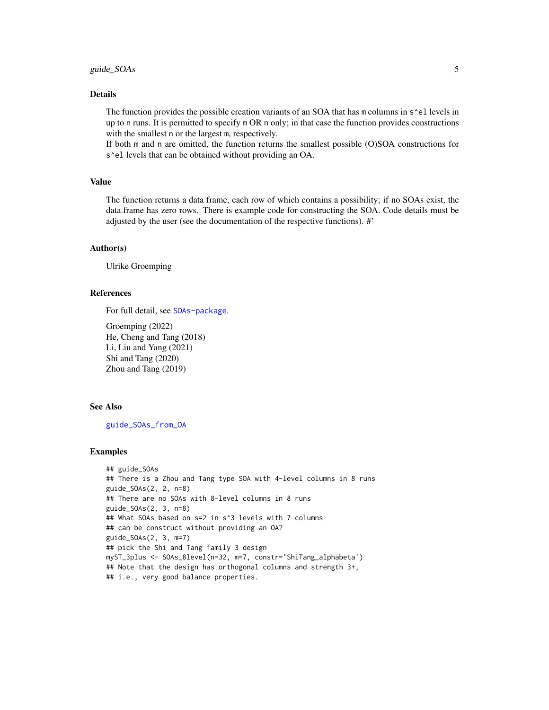### <span id="page-4-0"></span>Details

The function provides the possible creation variants of an SOA that has m columns in s^el levels in up to n runs. It is permitted to specify m OR n only; in that case the function provides constructions with the smallest n or the largest m, respectively.

If both m and n are omitted, the function returns the smallest possible (O)SOA constructions for s<sup>\*</sup>el levels that can be obtained without providing an OA.

#### Value

The function returns a data frame, each row of which contains a possibility; if no SOAs exist, the data.frame has zero rows. There is example code for constructing the SOA. Code details must be adjusted by the user (see the documentation of the respective functions). #'

#### Author(s)

Ulrike Groemping

### References

For full detail, see [SOAs-package](#page-1-1).

Groemping (2022) He, Cheng and Tang (2018) Li, Liu and Yang (2021) Shi and Tang (2020) Zhou and Tang (2019)

#### See Also

[guide\\_SOAs\\_from\\_OA](#page-5-1)

```
## guide_SOAs
## There is a Zhou and Tang type SOA with 4-level columns in 8 runs
guide_SOAs(2, 2, n=8)
## There are no SOAs with 8-level columns in 8 runs
guide_SOAs(2, 3, n=8)
## What SOAs based on s=2 in s^3 levels with 7 columns
## can be construct without providing an OA?
guide_SOAs(2, 3, m=7)
## pick the Shi and Tang family 3 design
myST_3plus <- SOAs_8level(n=32, m=7, constr='ShiTang_alphabeta')
## Note that the design has orthogonal columns and strength 3+,
## i.e., very good balance properties.
```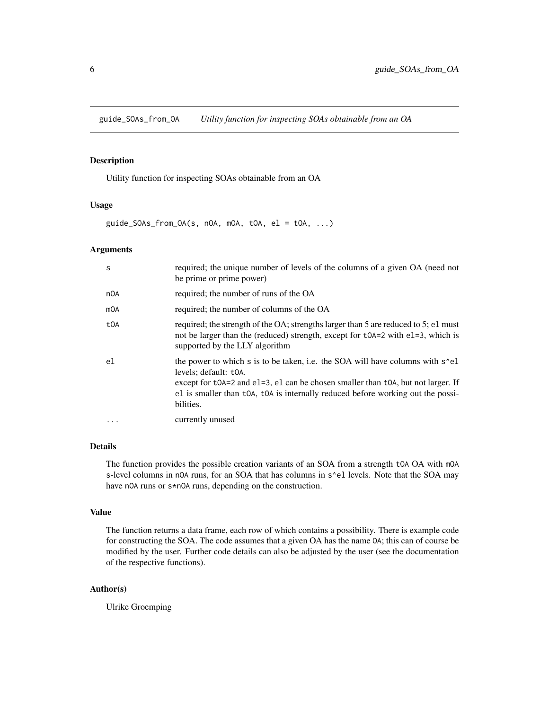<span id="page-5-1"></span><span id="page-5-0"></span>guide\_SOAs\_from\_OA *Utility function for inspecting SOAs obtainable from an OA*

#### Description

Utility function for inspecting SOAs obtainable from an OA

#### Usage

 $guide_SOAs_from_OA(s, nOA, mOA, tOA, el = toA, ...)$ 

#### Arguments

| S         | required; the unique number of levels of the columns of a given OA (need not<br>be prime or prime power)                                                                                                                                                                                                                                                        |
|-----------|-----------------------------------------------------------------------------------------------------------------------------------------------------------------------------------------------------------------------------------------------------------------------------------------------------------------------------------------------------------------|
| n0A       | required; the number of runs of the OA                                                                                                                                                                                                                                                                                                                          |
| mOA       | required; the number of columns of the OA                                                                                                                                                                                                                                                                                                                       |
| t0A       | required; the strength of the OA; strengths larger than 5 are reduced to 5; e1 must<br>not be larger than the (reduced) strength, except for tOA=2 with e1=3, which is<br>supported by the LLY algorithm                                                                                                                                                        |
| el        | the power to which s is to be taken, i.e. the SOA will have columns with s <sup><math>\text{el}</math></sup><br>levels; default: t0A.<br>except for $\text{toA}=2$ and $\text{el}=3$ , $\text{el}$ can be chosen smaller than $\text{toA}$ , but not larger. If<br>el is smaller than t0A, t0A is internally reduced before working out the possi-<br>bilities. |
| $\ddotsc$ | currently unused                                                                                                                                                                                                                                                                                                                                                |

### Details

The function provides the possible creation variants of an SOA from a strength tOA OA with mOA s-level columns in nOA runs, for an SOA that has columns in s^el levels. Note that the SOA may have nOA runs or s\*nOA runs, depending on the construction.

#### Value

The function returns a data frame, each row of which contains a possibility. There is example code for constructing the SOA. The code assumes that a given OA has the name OA; this can of course be modified by the user. Further code details can also be adjusted by the user (see the documentation of the respective functions).

### Author(s)

Ulrike Groemping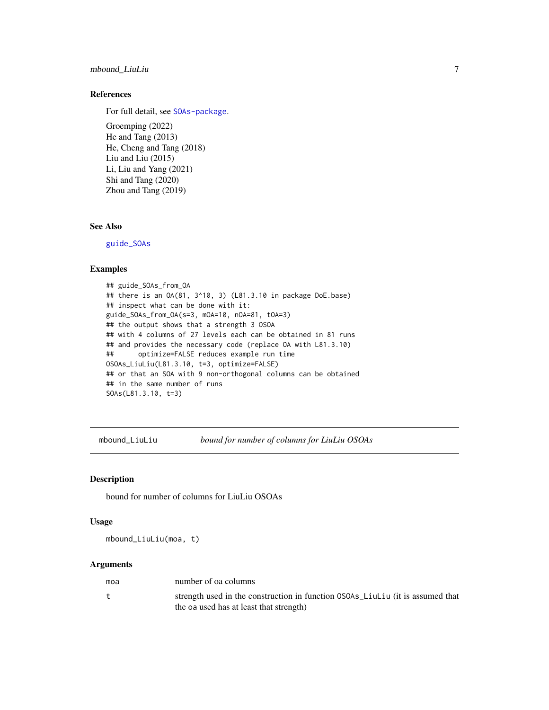### <span id="page-6-0"></span>mbound\_LiuLiu 7

### References

For full detail, see [SOAs-package](#page-1-1).

Groemping (2022) He and Tang (2013) He, Cheng and Tang (2018) Liu and Liu (2015) Li, Liu and Yang (2021) Shi and Tang (2020) Zhou and Tang (2019)

### See Also

[guide\\_SOAs](#page-3-1)

#### Examples

## guide\_SOAs\_from\_OA ## there is an OA(81, 3^10, 3) (L81.3.10 in package DoE.base) ## inspect what can be done with it: guide\_SOAs\_from\_OA(s=3, mOA=10, nOA=81, tOA=3) ## the output shows that a strength 3 OSOA ## with 4 columns of 27 levels each can be obtained in 81 runs ## and provides the necessary code (replace OA with L81.3.10) ## optimize=FALSE reduces example run time OSOAs\_LiuLiu(L81.3.10, t=3, optimize=FALSE) ## or that an SOA with 9 non-orthogonal columns can be obtained ## in the same number of runs SOAs(L81.3.10, t=3)

mbound\_LiuLiu *bound for number of columns for LiuLiu OSOAs*

### Description

bound for number of columns for LiuLiu OSOAs

#### Usage

mbound\_LiuLiu(moa, t)

#### Arguments

| moa | number of oa columns                                                           |
|-----|--------------------------------------------------------------------------------|
|     | strength used in the construction in function OSOAs_LiuLiu (it is assumed that |
|     | the oa used has at least that strength)                                        |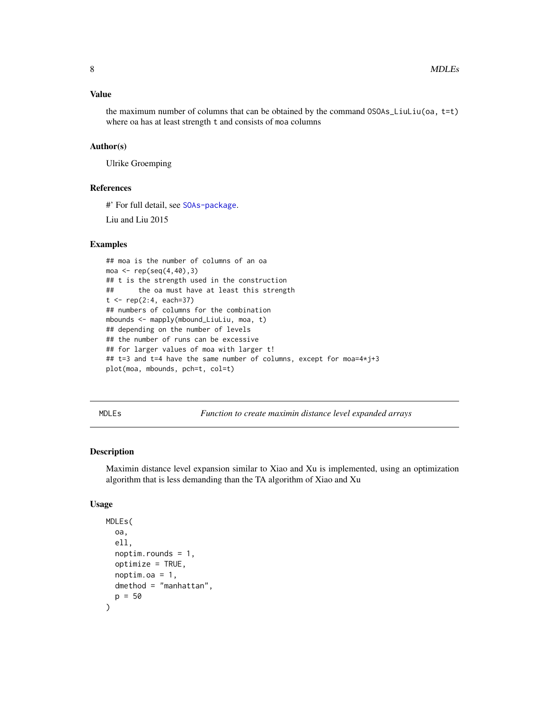### <span id="page-7-0"></span>Value

the maximum number of columns that can be obtained by the command  $OSOAS$  LiuLiu(oa,  $t=t$ ) where oa has at least strength t and consists of moa columns

### Author(s)

Ulrike Groemping

### References

#' For full detail, see [SOAs-package](#page-1-1).

Liu and Liu 2015

#### Examples

## moa is the number of columns of an oa moa <- rep(seq(4,40),3) ## t is the strength used in the construction ## the oa must have at least this strength  $t < - rep(2:4, each=37)$ ## numbers of columns for the combination mbounds <- mapply(mbound\_LiuLiu, moa, t) ## depending on the number of levels ## the number of runs can be excessive ## for larger values of moa with larger t! ## t=3 and t=4 have the same number of columns, except for moa=4\*j+3 plot(moa, mbounds, pch=t, col=t)

<span id="page-7-1"></span>MDLEs *Function to create maximin distance level expanded arrays*

### Description

Maximin distance level expansion similar to Xiao and Xu is implemented, using an optimization algorithm that is less demanding than the TA algorithm of Xiao and Xu

#### Usage

```
MDLEs(
  oa,
  ell,
  noptim.rounds = 1,
  optimize = TRUE,
  noptim.oa = 1,
  dmethod = "manhattan",
  p = 50)
```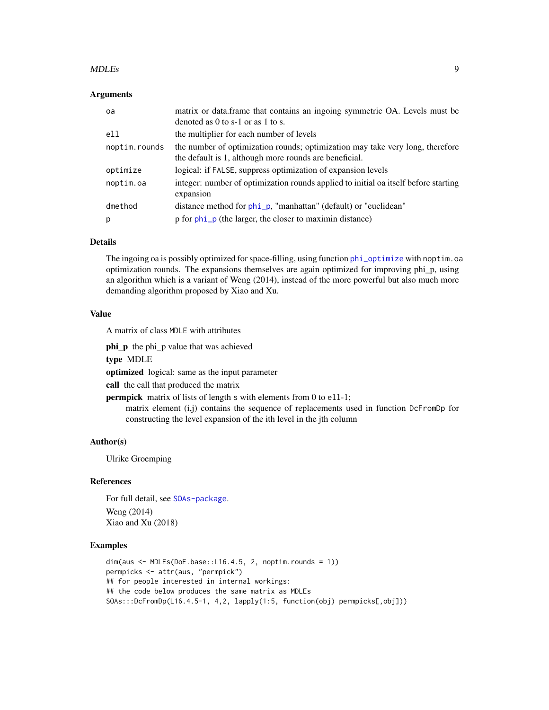#### <span id="page-8-0"></span>MDLEs 9

### Arguments

| oa            | matrix or data.frame that contains an ingoing symmetric OA. Levels must be<br>denoted as 0 to s-1 or as 1 to s.                         |
|---------------|-----------------------------------------------------------------------------------------------------------------------------------------|
| e11           | the multiplier for each number of levels                                                                                                |
| noptim.rounds | the number of optimization rounds; optimization may take very long, therefore<br>the default is 1, although more rounds are beneficial. |
| optimize      | logical: if FALSE, suppress optimization of expansion levels                                                                            |
| noptim.oa     | integer: number of optimization rounds applied to initial oa itself before starting<br>expansion                                        |
| dmethod       | distance method for phi_p, "manhattan" (default) or "euclidean"                                                                         |
| р             | p for phi_p (the larger, the closer to maximin distance)                                                                                |

### Details

The ingoing oa is possibly optimized for space-filling, using function [phi\\_optimize](#page-19-1) with noptim.oa optimization rounds. The expansions themselves are again optimized for improving phi\_p, using an algorithm which is a variant of Weng (2014), instead of the more powerful but also much more demanding algorithm proposed by Xiao and Xu.

### Value

A matrix of class MDLE with attributes

phi\_p the phi\_p value that was achieved

type MDLE

optimized logical: same as the input parameter

call the call that produced the matrix

**permpick** matrix of lists of length s with elements from 0 to ell-1;

matrix element (i,j) contains the sequence of replacements used in function DcFromDp for constructing the level expansion of the ith level in the jth column

### Author(s)

Ulrike Groemping

#### References

For full detail, see [SOAs-package](#page-1-1). Weng (2014) Xiao and Xu (2018)

```
dim(aus <- MDLEs(DoE.base::L16.4.5, 2, noptim.rounds = 1))
permpicks <- attr(aus, "permpick")
## for people interested in internal workings:
## the code below produces the same matrix as MDLEs
SOAs:::DcFromDp(L16.4.5-1, 4,2, lapply(1:5, function(obj) permpicks[,obj]))
```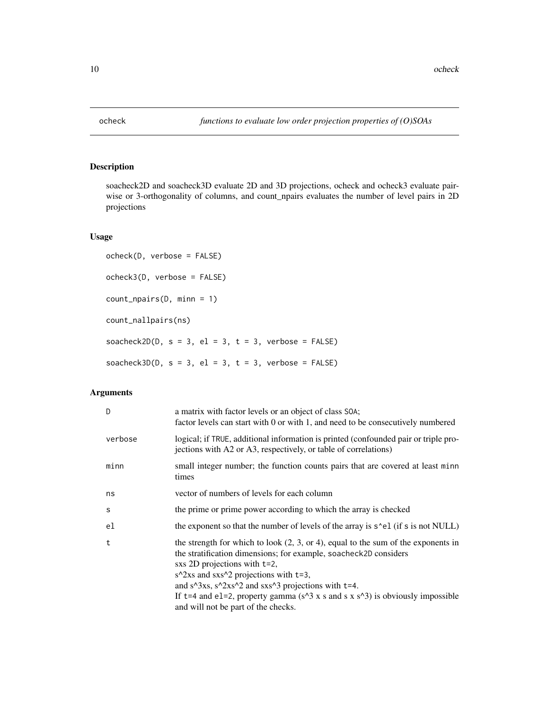<span id="page-9-1"></span><span id="page-9-0"></span>

### <span id="page-9-2"></span>Description

soacheck2D and soacheck3D evaluate 2D and 3D projections, ocheck and ocheck3 evaluate pairwise or 3-orthogonality of columns, and count\_npairs evaluates the number of level pairs in 2D projections

### Usage

```
ocheck(D, verbose = FALSE)
ocheck3(D, verbose = FALSE)
count_npairs(D, minn = 1)
count_nallpairs(ns)
soacheck2D(D, s = 3, el = 3, t = 3, verbose = FALSE)
soacheck3D(D, s = 3, el = 3, t = 3, verbose = FALSE)
```
### Arguments

| D       | a matrix with factor levels or an object of class SOA;<br>factor levels can start with 0 or with 1, and need to be consecutively numbered                                                                                                                                                                                                                                                                                         |
|---------|-----------------------------------------------------------------------------------------------------------------------------------------------------------------------------------------------------------------------------------------------------------------------------------------------------------------------------------------------------------------------------------------------------------------------------------|
| verbose | logical; if TRUE, additional information is printed (confounded pair or triple pro-<br>jections with A2 or A3, respectively, or table of correlations)                                                                                                                                                                                                                                                                            |
| minn    | small integer number; the function counts pairs that are covered at least minn<br>times                                                                                                                                                                                                                                                                                                                                           |
| ns      | vector of numbers of levels for each column                                                                                                                                                                                                                                                                                                                                                                                       |
| S       | the prime or prime power according to which the array is checked                                                                                                                                                                                                                                                                                                                                                                  |
| el      | the exponent so that the number of levels of the array is $s$ <sup>-el</sup> (if s is not NULL)                                                                                                                                                                                                                                                                                                                                   |
| t       | the strength for which to look $(2, 3, or 4)$ , equal to the sum of the exponents in<br>the stratification dimensions; for example, soacheck2D considers<br>sxs 2D projections with t=2,<br>$s^22xs$ and $ss^22$ projections with t=3,<br>and $s^3$ xs, $s^22xs^2$ and $ss^3$ projections with t=4.<br>If t=4 and e1=2, property gamma ( $s^3$ x s and s x $s^3$ ) is obviously impossible<br>and will not be part of the checks. |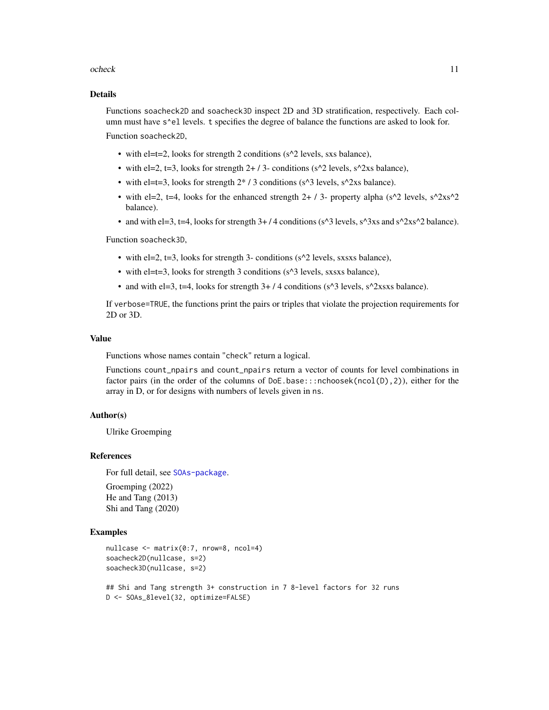#### ocheck 11

### Details

Functions soacheck2D and soacheck3D inspect 2D and 3D stratification, respectively. Each column must have  $s^e$ el levels. t specifies the degree of balance the functions are asked to look for. Function soacheck2D,

- with  $el=t=2$ , looks for strength 2 conditions ( $s^2$  levels, sxs balance),
- with el=2, t=3, looks for strength  $2+7$  conditions (s^2 levels, s^2xs balance),
- with el=t=3, looks for strength  $2*/3$  conditions (s^3 levels, s^2xs balance).
- with el=2, t=4, looks for the enhanced strength  $2 + / 3$  property alpha (s^2 levels, s^2xs^2 balance).
- and with el=3, t=4, looks for strength  $3+/4$  conditions (s^3 levels, s^3xs and s^2xs^2 balance).

Function soacheck3D,

- with  $el=2$ ,  $t=3$ , looks for strength 3- conditions ( $s^2$  levels, sxsxs balance),
- with el=t=3, looks for strength 3 conditions (s^3 levels, sxsxs balance),
- and with el=3, t=4, looks for strength  $3+/4$  conditions (s^3 levels, s^2xsxs balance).

If verbose=TRUE, the functions print the pairs or triples that violate the projection requirements for 2D or 3D.

#### Value

Functions whose names contain "check" return a logical.

Functions count\_npairs and count\_npairs return a vector of counts for level combinations in factor pairs (in the order of the columns of DoE.base:::nchoosek(ncol(D),2)), either for the array in D, or for designs with numbers of levels given in ns.

#### Author(s)

Ulrike Groemping

#### References

For full detail, see [SOAs-package](#page-1-1).

Groemping (2022) He and Tang (2013) Shi and Tang (2020)

### Examples

```
nullcase <- matrix(0:7, nrow=8, ncol=4)
soacheck2D(nullcase, s=2)
soacheck3D(nullcase, s=2)
```
## Shi and Tang strength 3+ construction in 7 8-level factors for 32 runs D <- SOAs\_8level(32, optimize=FALSE)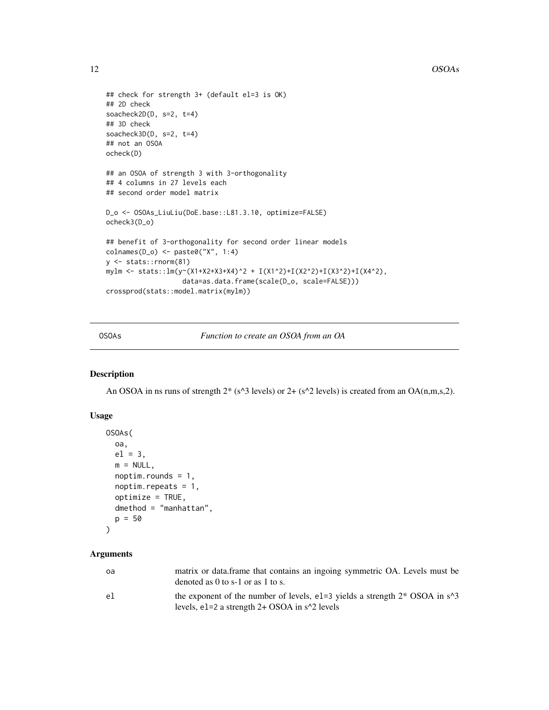```
## check for strength 3+ (default el=3 is OK)
## 2D check
soacheck2D(D, s=2, t=4)
## 3D check
soacheck3D(D, s=2, t=4)
## not an OSOA
ocheck(D)
## an OSOA of strength 3 with 3-orthogonality
## 4 columns in 27 levels each
## second order model matrix
D_o <- OSOAs_LiuLiu(DoE.base::L81.3.10, optimize=FALSE)
ocheck3(D_o)
## benefit of 3-orthogonality for second order linear models
colnames(D_o) <- paste0("X", 1:4)
y <- stats::rnorm(81)
mylm <- stats::lm(y~(X1+X2+X3+X4)^2 + I(X1^2)+I(X2^2)+I(X3^2)+I(X4^2),
                   data=as.data.frame(scale(D_o, scale=FALSE)))
crossprod(stats::model.matrix(mylm))
```
<span id="page-11-1"></span>OSOAs *Function to create an OSOA from an OA*

### Description

An OSOA in ns runs of strength  $2^*$  (s^3 levels) or 2+ (s^2 levels) is created from an OA(n,m,s,2).

### Usage

```
OSOAs(
  oa,
  el = 3,
  m = NULL,noptim.rounds = 1,
  noptim.repeats = 1,
  optimize = TRUE,
  dmethod = "manhattan",
  p = 50\mathcal{L}
```
### Arguments

| oa | matrix or data.frame that contains an ingoing symmetric OA. Levels must be<br>denoted as 0 to s-1 or as 1 to s.                       |
|----|---------------------------------------------------------------------------------------------------------------------------------------|
| el | the exponent of the number of levels, e1=3 yields a strength $2^*$ OSOA in $s^3$<br>levels, $e1=2$ a strength 2+ OSOA in $s^2$ levels |

<span id="page-11-0"></span>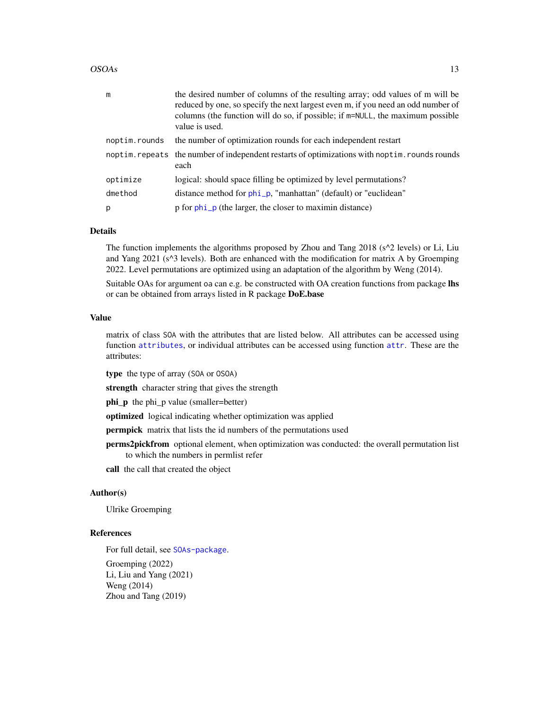#### <span id="page-12-0"></span> $OSOAs$  13

| m             | the desired number of columns of the resulting array; odd values of m will be<br>reduced by one, so specify the next largest even m, if you need an odd number of<br>columns (the function will do so, if possible; if $m=NULL$ , the maximum possible<br>value is used. |
|---------------|--------------------------------------------------------------------------------------------------------------------------------------------------------------------------------------------------------------------------------------------------------------------------|
| noptim.rounds | the number of optimization rounds for each independent restart                                                                                                                                                                                                           |
|               | noptim. repeats the number of independent restarts of optimizations with noptim. rounds rounds<br>each                                                                                                                                                                   |
| optimize      | logical: should space filling be optimized by level permutations?                                                                                                                                                                                                        |
| dmethod       | distance method for phi_p, "manhattan" (default) or "euclidean"                                                                                                                                                                                                          |
| p             | p for phi_p (the larger, the closer to maximin distance)                                                                                                                                                                                                                 |

### Details

The function implements the algorithms proposed by Zhou and Tang 2018 (s<sup> $\lambda$ </sup>2 levels) or Li, Liu and Yang  $2021$  ( $s^2$ ) levels). Both are enhanced with the modification for matrix A by Groemping 2022. Level permutations are optimized using an adaptation of the algorithm by Weng (2014).

Suitable OAs for argument oa can e.g. be constructed with OA creation functions from package lhs or can be obtained from arrays listed in R package DoE.base

### Value

matrix of class SOA with the attributes that are listed below. All attributes can be accessed using function [attributes](#page-0-0), or individual attributes can be accessed using function [attr](#page-0-0). These are the attributes:

type the type of array (SOA or OSOA)

strength character string that gives the strength

phi\_p the phi\_p value (smaller=better)

optimized logical indicating whether optimization was applied

**permpick** matrix that lists the id numbers of the permutations used

perms2pickfrom optional element, when optimization was conducted: the overall permutation list to which the numbers in permlist refer

call the call that created the object

### Author(s)

Ulrike Groemping

### References

For full detail, see [SOAs-package](#page-1-1). Groemping (2022) Li, Liu and Yang (2021) Weng (2014) Zhou and Tang (2019)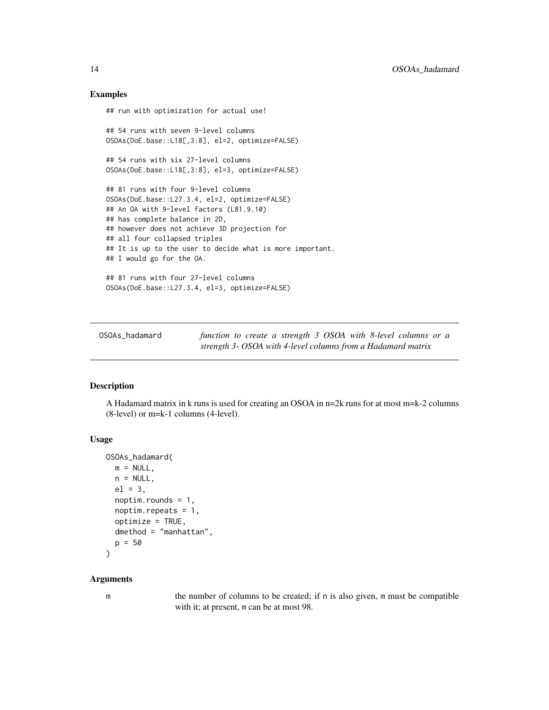### Examples

## run with optimization for actual use! ## 54 runs with seven 9-level columns OSOAs(DoE.base::L18[,3:8], el=2, optimize=FALSE) ## 54 runs with six 27-level columns OSOAs(DoE.base::L18[,3:8], el=3, optimize=FALSE) ## 81 runs with four 9-level columns OSOAs(DoE.base::L27.3.4, el=2, optimize=FALSE) ## An OA with 9-level factors (L81.9.10) ## has complete balance in 2D, ## however does not achieve 3D projection for ## all four collapsed triples ## It is up to the user to decide what is more important. ## I would go for the OA. ## 81 runs with four 27-level columns OSOAs(DoE.base::L27.3.4, el=3, optimize=FALSE)

<span id="page-13-1"></span>OSOAs\_hadamard *function to create a strength 3 OSOA with 8-level columns or a strength 3- OSOA with 4-level columns from a Hadamard matrix*

#### Description

A Hadamard matrix in k runs is used for creating an OSOA in n=2k runs for at most m=k-2 columns (8-level) or m=k-1 columns (4-level).

### Usage

```
OSOAs_hadamard(
 m = NULL,n = NULL,el = 3,
 noptim.rounds = 1,
  noptim.repeats = 1,
 optimize = TRUE,
 dmethod = "manhattan",
 p = 50\lambda
```
#### Arguments

m the number of columns to be created; if n is also given, m must be compatible with it; at present, m can be at most 98.

<span id="page-13-0"></span>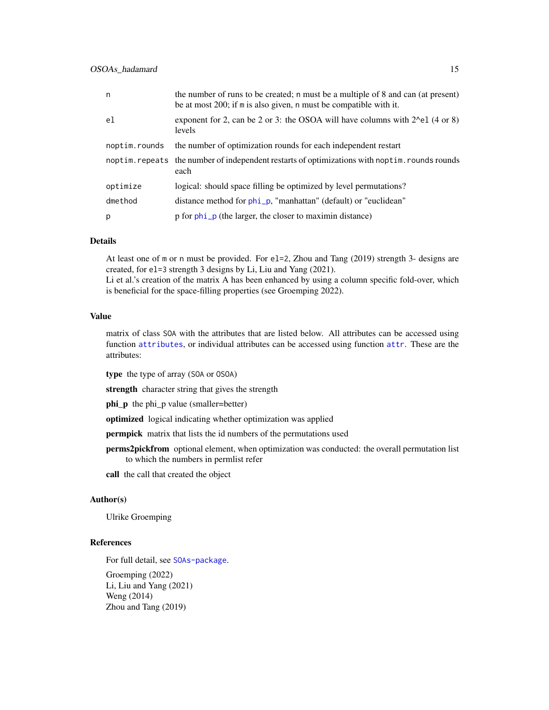<span id="page-14-0"></span>

| n             | the number of runs to be created; n must be a multiple of 8 and can (at present)<br>be at most 200; if m is also given, n must be compatible with it. |
|---------------|-------------------------------------------------------------------------------------------------------------------------------------------------------|
| e1            | exponent for 2, can be 2 or 3: the OSOA will have columns with $2^e$ el (4 or 8)<br>levels                                                            |
| noptim.rounds | the number of optimization rounds for each independent restart                                                                                        |
|               | noptim. repeats the number of independent restarts of optimizations with noptim. rounds rounds<br>each                                                |
| optimize      | logical: should space filling be optimized by level permutations?                                                                                     |
| dmethod       | distance method for phi_p, "manhattan" (default) or "euclidean"                                                                                       |
| p             | p for phi_p (the larger, the closer to maximin distance)                                                                                              |

### Details

At least one of m or n must be provided. For el=2, Zhou and Tang (2019) strength 3- designs are created, for el=3 strength 3 designs by Li, Liu and Yang (2021). Li et al.'s creation of the matrix A has been enhanced by using a column specific fold-over, which

is beneficial for the space-filling properties (see Groemping 2022).

### Value

matrix of class SOA with the attributes that are listed below. All attributes can be accessed using function [attributes](#page-0-0), or individual attributes can be accessed using function [attr](#page-0-0). These are the attributes:

type the type of array (SOA or OSOA)

strength character string that gives the strength

phi\_p the phi\_p value (smaller=better)

optimized logical indicating whether optimization was applied

permpick matrix that lists the id numbers of the permutations used

perms2pickfrom optional element, when optimization was conducted: the overall permutation list to which the numbers in permlist refer

call the call that created the object

#### Author(s)

Ulrike Groemping

### References

For full detail, see [SOAs-package](#page-1-1). Groemping (2022) Li, Liu and Yang (2021)

Weng (2014) Zhou and Tang (2019)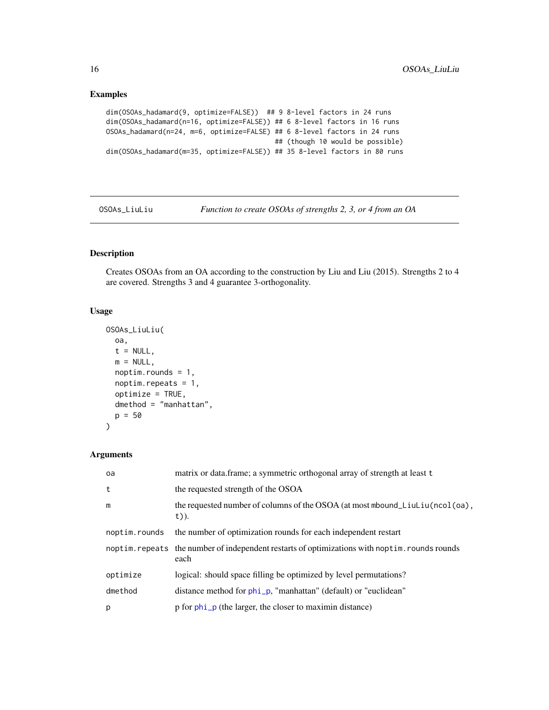### Examples

```
dim(OSOAs_hadamard(9, optimize=FALSE)) ## 9 8-level factors in 24 runs
dim(OSOAs_hadamard(n=16, optimize=FALSE)) ## 6 8-level factors in 16 runs
OSOAs_hadamard(n=24, m=6, optimize=FALSE) ## 6 8-level factors in 24 runs
                                         ## (though 10 would be possible)
dim(OSOAs_hadamard(m=35, optimize=FALSE)) ## 35 8-level factors in 80 runs
```
<span id="page-15-1"></span>OSOAs\_LiuLiu *Function to create OSOAs of strengths 2, 3, or 4 from an OA*

### Description

Creates OSOAs from an OA according to the construction by Liu and Liu (2015). Strengths 2 to 4 are covered. Strengths 3 and 4 guarantee 3-orthogonality.

### Usage

```
OSOAs_LiuLiu(
  oa,
  t = NULL,m = NULL,noptim.rounds = 1,
  noptim.repeats = 1,
  optimize = TRUE,
  dmethod = "manhattan",
  p = 50)
```
### Arguments

| oa            | matrix or data.frame; a symmetric orthogonal array of strength at least t                              |
|---------------|--------------------------------------------------------------------------------------------------------|
| t             | the requested strength of the OSOA                                                                     |
| m             | the requested number of columns of the OSOA (at most mbound_LiuLiu(ncol(oa),<br>$t)$ ).                |
| noptim.rounds | the number of optimization rounds for each independent restart                                         |
|               | noptim. repeats the number of independent restarts of optimizations with noptim. rounds rounds<br>each |
| optimize      | logical: should space filling be optimized by level permutations?                                      |
| dmethod       | distance method for phi_p, "manhattan" (default) or "euclidean"                                        |
| p             | p for phi_p (the larger, the closer to maximin distance)                                               |

<span id="page-15-0"></span>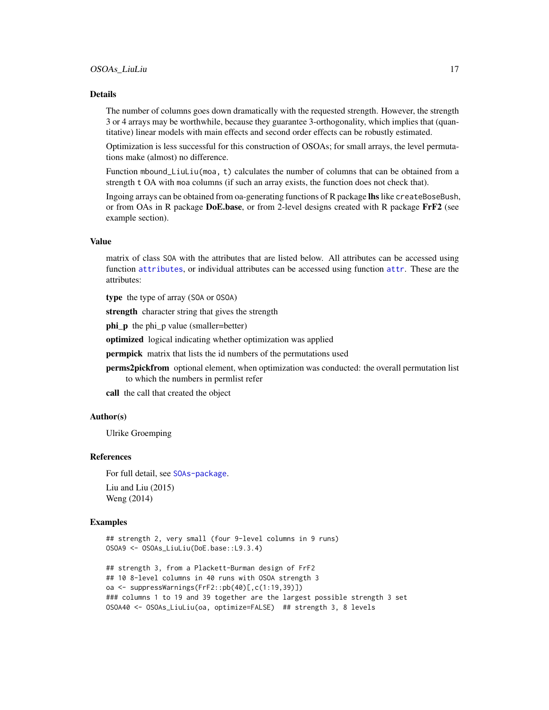#### <span id="page-16-0"></span>Details

The number of columns goes down dramatically with the requested strength. However, the strength 3 or 4 arrays may be worthwhile, because they guarantee 3-orthogonality, which implies that (quantitative) linear models with main effects and second order effects can be robustly estimated.

Optimization is less successful for this construction of OSOAs; for small arrays, the level permutations make (almost) no difference.

Function mbound\_LiuLiu(moa, t) calculates the number of columns that can be obtained from a strength t OA with moa columns (if such an array exists, the function does not check that).

Ingoing arrays can be obtained from oa-generating functions of R package **lhs** like createBoseBush, or from OAs in R package DoE.base, or from 2-level designs created with R package FrF2 (see example section).

### Value

matrix of class SOA with the attributes that are listed below. All attributes can be accessed using function [attributes](#page-0-0), or individual attributes can be accessed using function [attr](#page-0-0). These are the attributes:

type the type of array (SOA or OSOA)

strength character string that gives the strength

phi\_p the phi\_p value (smaller=better)

optimized logical indicating whether optimization was applied

permpick matrix that lists the id numbers of the permutations used

perms2pickfrom optional element, when optimization was conducted: the overall permutation list to which the numbers in permlist refer

call the call that created the object

### Author(s)

Ulrike Groemping

### References

For full detail, see [SOAs-package](#page-1-1). Liu and Liu (2015)

Weng (2014)

```
## strength 2, very small (four 9-level columns in 9 runs)
OSOA9 <- OSOAs_LiuLiu(DoE.base::L9.3.4)
## strength 3, from a Plackett-Burman design of FrF2
## 10 8-level columns in 40 runs with OSOA strength 3
oa <- suppressWarnings(FrF2::pb(40)[,c(1:19,39)])
### columns 1 to 19 and 39 together are the largest possible strength 3 set
OSOA40 <- OSOAs_LiuLiu(oa, optimize=FALSE) ## strength 3, 8 levels
```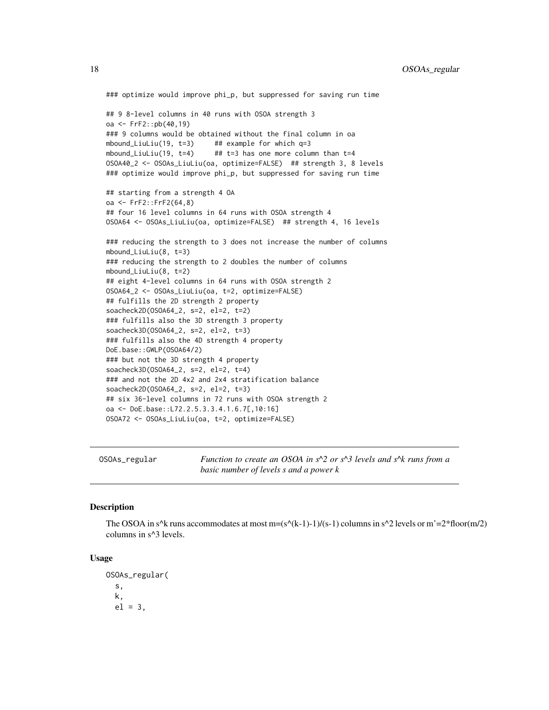```
### optimize would improve phi_p, but suppressed for saving run time
## 9 8-level columns in 40 runs with OSOA strength 3
oa <- FrF2::pb(40,19)
### 9 columns would be obtained without the final column in oa
mbound_LiuLiu(19, t=3) ## example for which q=3mbound_LiuLiu(19, t=4) ## t=3 has one more column than t=4
OSOA40_2 <- OSOAs_LiuLiu(oa, optimize=FALSE) ## strength 3, 8 levels
### optimize would improve phi_p, but suppressed for saving run time
## starting from a strength 4 OA
oa <- FrF2::FrF2(64,8)
## four 16 level columns in 64 runs with OSOA strength 4
OSOA64 <- OSOAs_LiuLiu(oa, optimize=FALSE) ## strength 4, 16 levels
### reducing the strength to 3 does not increase the number of columns
mbound_LiuLiu(8, t=3)
### reducing the strength to 2 doubles the number of columns
mbound_LiuLiu(8, t=2)
## eight 4-level columns in 64 runs with OSOA strength 2
OSOA64_2 <- OSOAs_LiuLiu(oa, t=2, optimize=FALSE)
## fulfills the 2D strength 2 property
soacheck2D(OSOA64_2, s=2, el=2, t=2)
### fulfills also the 3D strength 3 property
soacheck3D(OSOA64_2, s=2, el=2, t=3)
### fulfills also the 4D strength 4 property
DoE.base::GWLP(OSOA64/2)
### but not the 3D strength 4 property
soacheck3D(OSOA64_2, s=2, el=2, t=4)
### and not the 2D 4x2 and 2x4 stratification balance
soacheck2D(OSOA64_2, s=2, el=2, t=3)
## six 36-level columns in 72 runs with OSOA strength 2
oa <- DoE.base::L72.2.5.3.3.4.1.6.7[,10:16]
OSOA72 <- OSOAs_LiuLiu(oa, t=2, optimize=FALSE)
```
<span id="page-17-1"></span>OSOAs\_regular *Function to create an OSOA in s^2 or s^3 levels and s^k runs from a basic number of levels s and a power k*

### **Description**

The OSOA in s^k runs accommodates at most  $m=(s^{(k-1)-1})/(s-1)$  columns in s^2 levels or  $m'=2*floor(m/2)$ columns in s^3 levels.

#### Usage

OSOAs\_regular( s, k,  $el = 3$ ,

<span id="page-17-0"></span>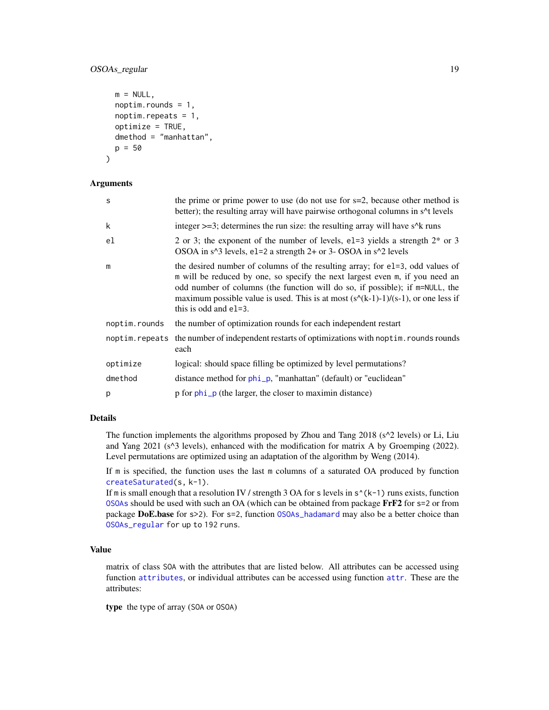### <span id="page-18-0"></span>OSOAs\_regular 19

```
m = NULL,noptim.rounds = 1,
 noptim.repeats = 1,
 optimize = TRUE,
  dmethod = "manhattan",
 p = 50
)
```
#### Arguments

| S              | the prime or prime power to use (do not use for $s=2$ , because other method is<br>better); the resulting array will have pairwise orthogonal columns in s <sup>1</sup> t levels                                                                                                                                                                                 |
|----------------|------------------------------------------------------------------------------------------------------------------------------------------------------------------------------------------------------------------------------------------------------------------------------------------------------------------------------------------------------------------|
| k              | integer $\geq$ =3; determines the run size: the resulting array will have s <sup><math>\wedge</math>k</sup> runs                                                                                                                                                                                                                                                 |
| el             | 2 or 3; the exponent of the number of levels, e1=3 yields a strength $2^*$ or 3<br>OSOA in s <sup><math>\land</math></sup> 3 levels, e1=2 a strength 2+ or 3- OSOA in s <sup><math>\land</math></sup> 2 levels                                                                                                                                                   |
| m              | the desired number of columns of the resulting array; for e1=3, odd values of<br>m will be reduced by one, so specify the next largest even m, if you need an<br>odd number of columns (the function will do so, if possible); if m=NULL, the<br>maximum possible value is used. This is at most $(s(k-1)-1)/(s-1)$ , or one less if<br>this is odd and $e1=3$ . |
| noptim.rounds  | the number of optimization rounds for each independent restart                                                                                                                                                                                                                                                                                                   |
| noptim.repeats | the number of independent restarts of optimizations with noptim. rounds rounds<br>each                                                                                                                                                                                                                                                                           |
| optimize       | logical: should space filling be optimized by level permutations?                                                                                                                                                                                                                                                                                                |
| dmethod        | distance method for phi_p, "manhattan" (default) or "euclidean"                                                                                                                                                                                                                                                                                                  |
| p              | p for phi_p (the larger, the closer to maximin distance)                                                                                                                                                                                                                                                                                                         |

### Details

The function implements the algorithms proposed by Zhou and Tang 2018 (s^2 levels) or Li, Liu and Yang 2021 (s^3 levels), enhanced with the modification for matrix A by Groemping (2022). Level permutations are optimized using an adaptation of the algorithm by Weng (2014).

If m is specified, the function uses the last m columns of a saturated OA produced by function [createSaturated\(](#page-2-1)s, k-1).

If m is small enough that a resolution IV / strength 3 OA for s levels in  $s^{(k-1)}$  runs exists, function [OSOAs](#page-11-1) should be used with such an OA (which can be obtained from package FrF2 for s=2 or from package DoE.base for s>2). For s=2, function 0S0As\_hadamard may also be a better choice than [OSOAs\\_regular](#page-17-1) for up to 192 runs.

### Value

matrix of class SOA with the attributes that are listed below. All attributes can be accessed using function [attributes](#page-0-0), or individual attributes can be accessed using function [attr](#page-0-0). These are the attributes:

type the type of array (SOA or OSOA)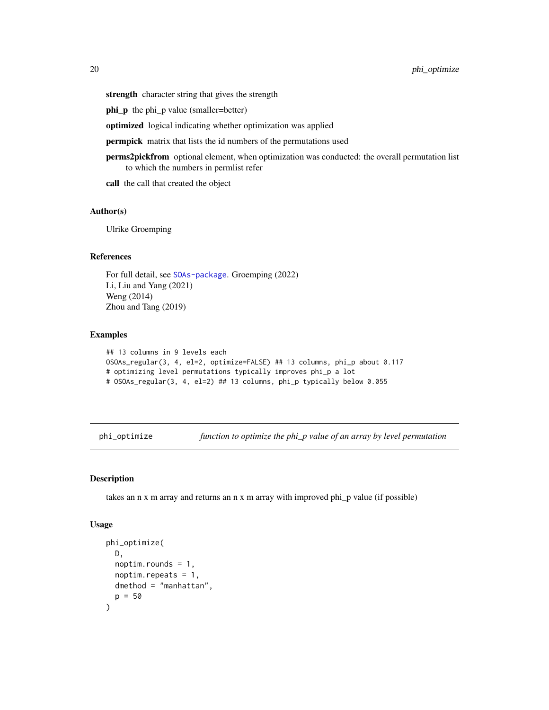<span id="page-19-0"></span>strength character string that gives the strength

phi\_p the phi\_p value (smaller=better)

optimized logical indicating whether optimization was applied

permpick matrix that lists the id numbers of the permutations used

- perms2pickfrom optional element, when optimization was conducted: the overall permutation list to which the numbers in permlist refer
- call the call that created the object

### Author(s)

Ulrike Groemping

### References

For full detail, see [SOAs-package](#page-1-1). Groemping (2022) Li, Liu and Yang (2021) Weng (2014) Zhou and Tang (2019)

### Examples

```
## 13 columns in 9 levels each
OSOAs_regular(3, 4, el=2, optimize=FALSE) ## 13 columns, phi_p about 0.117
# optimizing level permutations typically improves phi_p a lot
# OSOAs_regular(3, 4, el=2) ## 13 columns, phi_p typically below 0.055
```
<span id="page-19-1"></span>phi\_optimize *function to optimize the phi\_p value of an array by level permutation*

### Description

takes an n x m array and returns an n x m array with improved phi\_p value (if possible)

#### Usage

```
phi_optimize(
 D,
 noptim.rounds = 1,
 noptim.repeats = 1,
 dmethod = "manhattan",
 p = 50)
```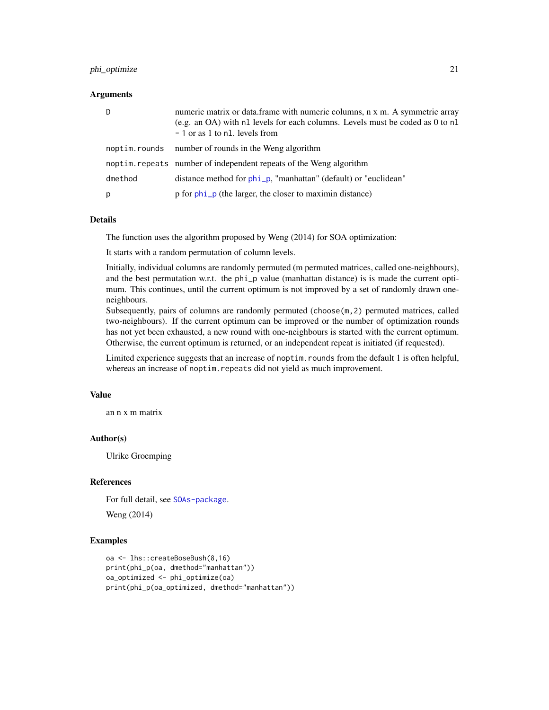### <span id="page-20-0"></span>phi\_optimize 21

#### **Arguments**

| D       | numeric matrix or data.frame with numeric columns, n x m. A symmetric array<br>(e.g. an OA) with n1 levels for each columns. Levels must be coded as 0 to n1<br>- 1 or as 1 to n1. levels from |
|---------|------------------------------------------------------------------------------------------------------------------------------------------------------------------------------------------------|
|         | noptim. rounds number of rounds in the Weng algorithm                                                                                                                                          |
|         | noptim. repeats number of independent repeats of the Weng algorithm                                                                                                                            |
| dmethod | distance method for phi_p, "manhattan" (default) or "euclidean"                                                                                                                                |
| p       | p for phi_p (the larger, the closer to maximin distance)                                                                                                                                       |

#### Details

The function uses the algorithm proposed by Weng (2014) for SOA optimization:

It starts with a random permutation of column levels.

Initially, individual columns are randomly permuted (m permuted matrices, called one-neighbours), and the best permutation w.r.t. the phi\_p value (manhattan distance) is is made the current optimum. This continues, until the current optimum is not improved by a set of randomly drawn oneneighbours.

Subsequently, pairs of columns are randomly permuted (choose(m,2) permuted matrices, called two-neighbours). If the current optimum can be improved or the number of optimization rounds has not yet been exhausted, a new round with one-neighbours is started with the current optimum. Otherwise, the current optimum is returned, or an independent repeat is initiated (if requested).

Limited experience suggests that an increase of noptim.rounds from the default 1 is often helpful, whereas an increase of noptim. repeats did not yield as much improvement.

### Value

an n x m matrix

### Author(s)

Ulrike Groemping

### References

For full detail, see [SOAs-package](#page-1-1).

Weng (2014)

```
oa <- lhs::createBoseBush(8,16)
print(phi_p(oa, dmethod="manhattan"))
oa_optimized <- phi_optimize(oa)
print(phi_p(oa_optimized, dmethod="manhattan"))
```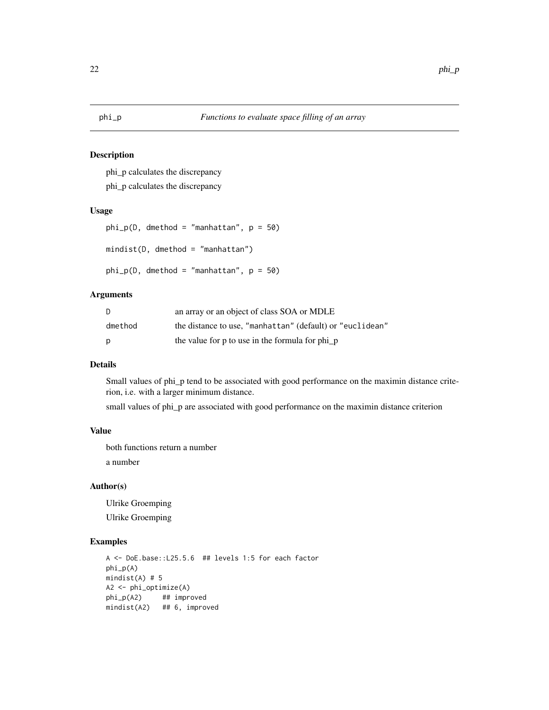## <span id="page-21-1"></span><span id="page-21-0"></span>Description

phi\_p calculates the discrepancy

phi\_p calculates the discrepancy

### Usage

```
phi_p(i), dmethod = "manhattan", p = 50)
mindist(D, dmethod = "manhattan")
phi_p(i), dmethod = "manhattan", p = 50)
```
### Arguments

| D       | an array or an object of class SOA or MDLE                |
|---------|-----------------------------------------------------------|
| dmethod | the distance to use, "manhattan" (default) or "euclidean" |
| p       | the value for p to use in the formula for phi_p           |

### Details

Small values of phi\_p tend to be associated with good performance on the maximin distance criterion, i.e. with a larger minimum distance.

small values of phi\_p are associated with good performance on the maximin distance criterion

#### Value

both functions return a number

a number

### Author(s)

Ulrike Groemping Ulrike Groemping

```
A <- DoE.base::L25.5.6 ## levels 1:5 for each factor
phi_p(A)
mindist(A) # 5
A2 <- phi_optimize(A)
phi_p(A2) ## improved
mindist(A2) ## 6, improved
```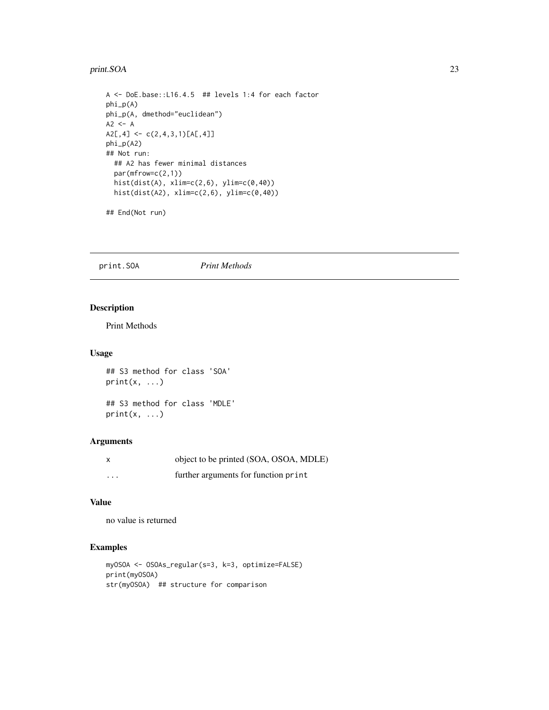#### <span id="page-22-0"></span>print.SOA 23

```
A <- DoE.base::L16.4.5 ## levels 1:4 for each factor
phi_p(A)
phi_p(A, dmethod="euclidean")
A2 \leq -AA2[, 4] \leftarrow c(2, 4, 3, 1)[A[, 4]]phi_p(A2)
## Not run:
  ## A2 has fewer minimal distances
  par(mfrow=c(2,1))
  hist(dist(A), xlim=c(2,6), ylim=c(0,40))
  hist(dist(A2), xlim=c(2,6), ylim=c(0,40))
```
## End(Not run)

print.SOA *Print Methods*

### Description

Print Methods

### Usage

```
## S3 method for class 'SOA'
print(x, \ldots)
```
## S3 method for class 'MDLE'  $print(x, \ldots)$ 

### Arguments

|          | object to be printed (SOA, OSOA, MDLE) |
|----------|----------------------------------------|
| $\cdots$ | further arguments for function print   |

### Value

no value is returned

```
myOSOA <- OSOAs_regular(s=3, k=3, optimize=FALSE)
print(myOSOA)
str(myOSOA) ## structure for comparison
```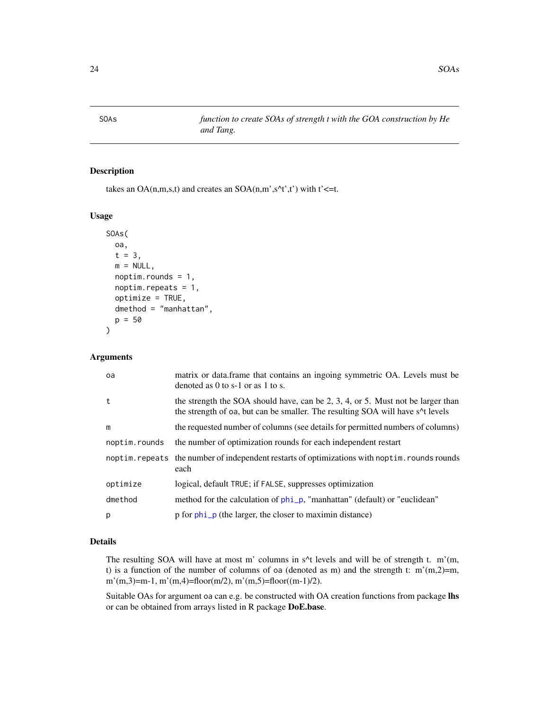<span id="page-23-1"></span><span id="page-23-0"></span>SOAs *function to create SOAs of strength t with the GOA construction by He and Tang.*

### Description

takes an OA $(n,m,s,t)$  and creates an SOA $(n,m^{\prime},s^{\prime}t^{\prime},t^{\prime})$  with t' $\leq t$ .

### Usage

```
SOAs(
  oa,
  t = 3,
  m = NULL,noptim.rounds = 1,
  noptim.repeats = 1,
  optimize = TRUE,
  dmethod = "manhattan",
  p = 50\mathcal{L}
```
#### Arguments

| matrix or data.frame that contains an ingoing symmetric OA. Levels must be<br>denoted as 0 to s-1 or as 1 to s.                                                                                  |
|--------------------------------------------------------------------------------------------------------------------------------------------------------------------------------------------------|
| the strength the SOA should have, can be 2, 3, 4, or 5. Must not be larger than<br>the strength of oa, but can be smaller. The resulting SOA will have s <sup><math>\wedge</math></sup> t levels |
| the requested number of columns (see details for permitted numbers of columns)                                                                                                                   |
| the number of optimization rounds for each independent restart                                                                                                                                   |
| noptim. repeats the number of independent restarts of optimizations with noptim. rounds rounds<br>each                                                                                           |
| logical, default TRUE; if FALSE, suppresses optimization                                                                                                                                         |
| method for the calculation of phi_p, "manhattan" (default) or "euclidean"                                                                                                                        |
| p for phi_p (the larger, the closer to maximin distance)                                                                                                                                         |
|                                                                                                                                                                                                  |

### Details

The resulting SOA will have at most m' columns in s<sup> $\land$ </sup>t levels and will be of strength t. m'(m, t) is a function of the number of columns of oa (denoted as m) and the strength t:  $m'(m,2)=m$ , m'(m,3)=m-1, m'(m,4)=floor(m/2), m'(m,5)=floor((m-1)/2).

Suitable OAs for argument oa can e.g. be constructed with OA creation functions from package lhs or can be obtained from arrays listed in R package DoE.base.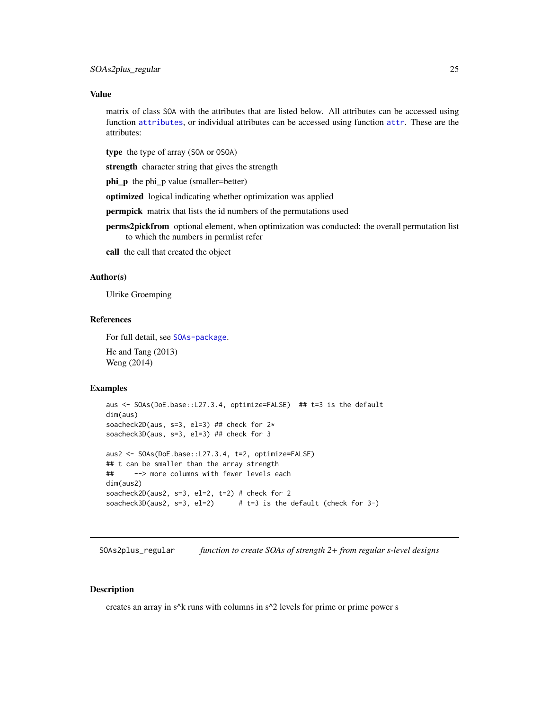### <span id="page-24-0"></span>Value

matrix of class SOA with the attributes that are listed below. All attributes can be accessed using function [attributes](#page-0-0), or individual attributes can be accessed using function [attr](#page-0-0). These are the attributes:

type the type of array (SOA or OSOA)

strength character string that gives the strength

phi\_p the phi\_p value (smaller=better)

optimized logical indicating whether optimization was applied

permpick matrix that lists the id numbers of the permutations used

perms2pickfrom optional element, when optimization was conducted: the overall permutation list to which the numbers in permlist refer

call the call that created the object

### Author(s)

Ulrike Groemping

### References

For full detail, see [SOAs-package](#page-1-1). He and Tang (2013) Weng (2014)

### Examples

```
aus <- SOAs(DoE.base::L27.3.4, optimize=FALSE) ## t=3 is the default
dim(aus)
soacheck2D(aus, s=3, el=3) ## check for 2*
soacheck3D(aus, s=3, el=3) ## check for 3
aus2 <- SOAs(DoE.base::L27.3.4, t=2, optimize=FALSE)
## t can be smaller than the array strength
## --> more columns with fewer levels each
dim(aus2)
soacheck2D(aus2, s=3, el=2, t=2) # check for 2
soacheck3D(aus2, s=3, el=2) # t=3 is the default (check for 3-)
```
<span id="page-24-1"></span>SOAs2plus\_regular *function to create SOAs of strength 2+ from regular s-level designs*

#### **Description**

creates an array in s^k runs with columns in s^2 levels for prime or prime power s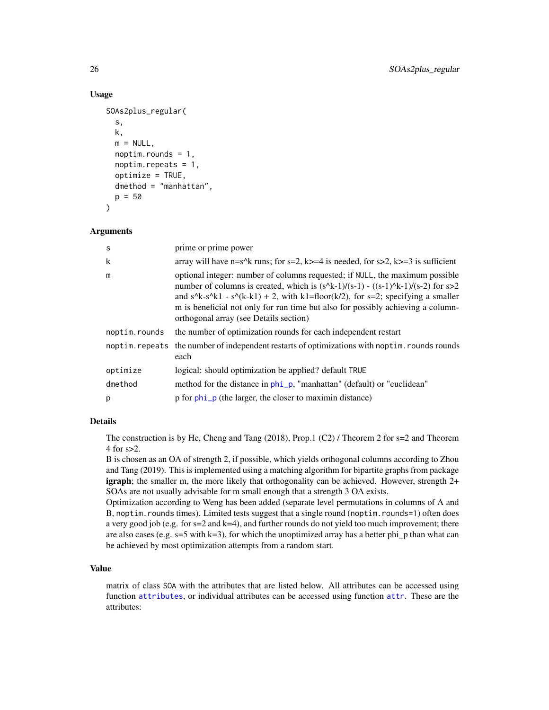### Usage

```
SOAs2plus_regular(
  s,
  k,
 m = NULL,noptim.rounds = 1,
  noptim.repeats = 1,
  optimize = TRUE,
  dmethod = "manhattan",
 p = 50)
```
### Arguments

| S              | prime or prime power                                                                                                                                                                                                                                                                                                                                                                |
|----------------|-------------------------------------------------------------------------------------------------------------------------------------------------------------------------------------------------------------------------------------------------------------------------------------------------------------------------------------------------------------------------------------|
| k              | array will have n=s^k runs; for s=2, k>=4 is needed, for s>2, k>=3 is sufficient                                                                                                                                                                                                                                                                                                    |
| m              | optional integer: number of columns requested; if NULL, the maximum possible<br>number of columns is created, which is $(s^k-1)/(s-1) - ((s-1)^k-1)/(s-2)$ for $s>2$<br>and s^k-s^k1 - s^(k-k1) + 2, with k1=floor(k/2), for s=2; specifying a smaller<br>m is beneficial not only for run time but also for possibly achieving a column-<br>orthogonal array (see Details section) |
| noptim.rounds  | the number of optimization rounds for each independent restart                                                                                                                                                                                                                                                                                                                      |
| noptim.repeats | the number of independent restarts of optimizations with noptim. rounds rounds<br>each                                                                                                                                                                                                                                                                                              |
| optimize       | logical: should optimization be applied? default TRUE                                                                                                                                                                                                                                                                                                                               |
| dmethod        | method for the distance in phi_p, "manhattan" (default) or "euclidean"                                                                                                                                                                                                                                                                                                              |
| p              | p for phi_p (the larger, the closer to maximin distance)                                                                                                                                                                                                                                                                                                                            |

### Details

The construction is by He, Cheng and Tang (2018), Prop.1 (C2) / Theorem 2 for s=2 and Theorem 4 for s>2.

B is chosen as an OA of strength 2, if possible, which yields orthogonal columns according to Zhou and Tang (2019). This is implemented using a matching algorithm for bipartite graphs from package igraph; the smaller m, the more likely that orthogonality can be achieved. However, strength 2+ SOAs are not usually advisable for m small enough that a strength 3 OA exists.

Optimization according to Weng has been added (separate level permutations in columns of A and B, noptim. rounds times). Limited tests suggest that a single round (noptim. rounds=1) often does a very good job (e.g. for  $s=2$  and  $k=4$ ), and further rounds do not yield too much improvement; there are also cases (e.g.  $s=5$  with k=3), for which the unoptimized array has a better phi\_p than what can be achieved by most optimization attempts from a random start.

### Value

matrix of class SOA with the attributes that are listed below. All attributes can be accessed using function [attributes](#page-0-0), or individual attributes can be accessed using function [attr](#page-0-0). These are the attributes:

<span id="page-25-0"></span>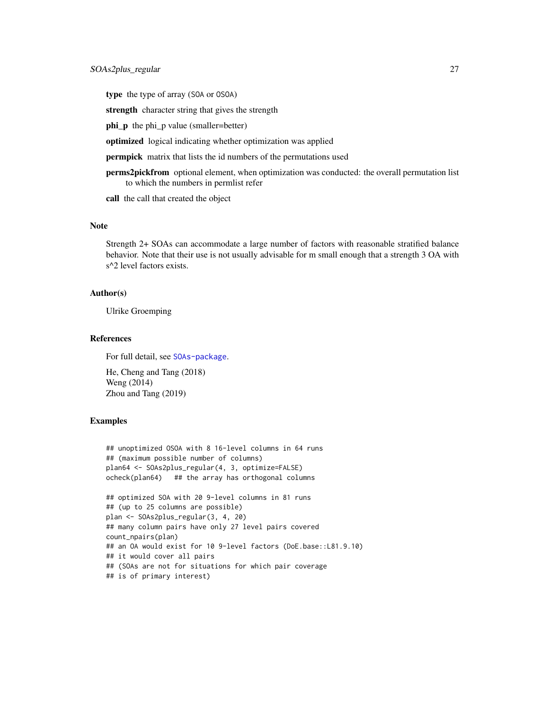type the type of array (SOA or OSOA)

strength character string that gives the strength

phi\_p the phi\_p value (smaller=better)

optimized logical indicating whether optimization was applied

**permpick** matrix that lists the id numbers of the permutations used

perms2pickfrom optional element, when optimization was conducted: the overall permutation list to which the numbers in permlist refer

call the call that created the object

### Note

Strength 2+ SOAs can accommodate a large number of factors with reasonable stratified balance behavior. Note that their use is not usually advisable for m small enough that a strength 3 OA with s<sup> $\triangle$ 2</sup> level factors exists.

### Author(s)

Ulrike Groemping

### References

For full detail, see [SOAs-package](#page-1-1).

He, Cheng and Tang (2018) Weng (2014) Zhou and Tang (2019)

```
## unoptimized OSOA with 8 16-level columns in 64 runs
## (maximum possible number of columns)
plan64 <- SOAs2plus_regular(4, 3, optimize=FALSE)
ocheck(plan64) ## the array has orthogonal columns
## optimized SOA with 20 9-level columns in 81 runs
## (up to 25 columns are possible)
plan <- SOAs2plus_regular(3, 4, 20)
## many column pairs have only 27 level pairs covered
count_npairs(plan)
## an OA would exist for 10 9-level factors (DoE.base::L81.9.10)
## it would cover all pairs
## (SOAs are not for situations for which pair coverage
## is of primary interest)
```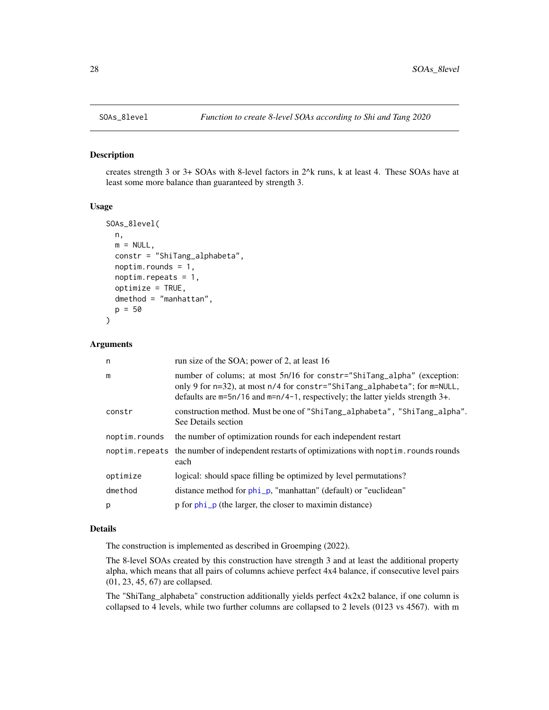<span id="page-27-1"></span><span id="page-27-0"></span>

#### Description

creates strength 3 or 3+ SOAs with 8-level factors in 2^k runs, k at least 4. These SOAs have at least some more balance than guaranteed by strength 3.

### Usage

```
SOAs_8level(
 n,
 m = NULL,constr = "ShiTang_alphabeta",
 noptim.rounds = 1,
 noptim.repeats = 1,
  optimize = TRUE,
 dmethod = "manhattan",
 p = 50\mathcal{L}
```
### Arguments

| n             | run size of the SOA; power of 2, at least 16                                                                                                                                                                                                       |
|---------------|----------------------------------------------------------------------------------------------------------------------------------------------------------------------------------------------------------------------------------------------------|
| m             | number of colums; at most 5n/16 for constr="ShiTang_alpha" (exception:<br>only 9 for $n=32$ ), at most $n/4$ for constr="ShiTang_alphabeta"; for $m=NULL$ ,<br>defaults are $m=5n/16$ and $m=n/4-1$ , respectively; the latter yields strength 3+. |
| constr        | construction method. Must be one of "ShiTang_alphabeta", "ShiTang_alpha".<br>See Details section                                                                                                                                                   |
| noptim.rounds | the number of optimization rounds for each independent restart                                                                                                                                                                                     |
|               | noptim. repeats the number of independent restarts of optimizations with noptim. rounds rounds<br>each                                                                                                                                             |
| optimize      | logical: should space filling be optimized by level permutations?                                                                                                                                                                                  |
| dmethod       | distance method for phi_p, "manhattan" (default) or "euclidean"                                                                                                                                                                                    |
| p             | p for phi_p (the larger, the closer to maximin distance)                                                                                                                                                                                           |

### Details

The construction is implemented as described in Groemping (2022).

The 8-level SOAs created by this construction have strength 3 and at least the additional property alpha, which means that all pairs of columns achieve perfect 4x4 balance, if consecutive level pairs (01, 23, 45, 67) are collapsed.

The "ShiTang\_alphabeta" construction additionally yields perfect 4x2x2 balance, if one column is collapsed to 4 levels, while two further columns are collapsed to 2 levels (0123 vs 4567). with m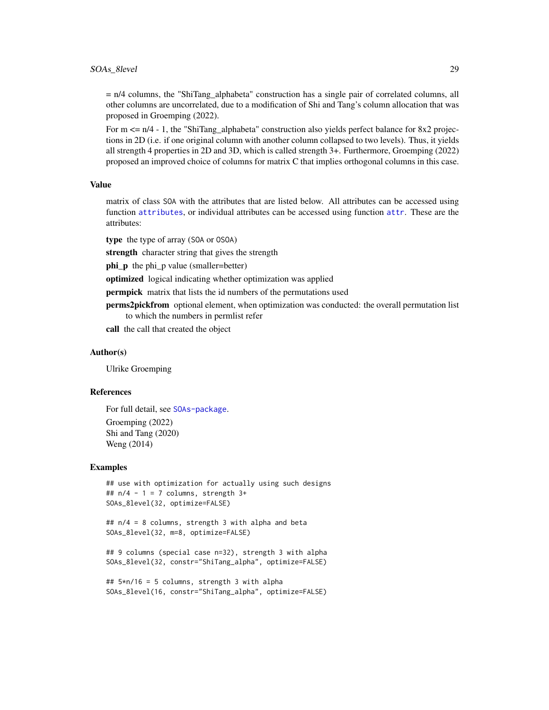<span id="page-28-0"></span>= n/4 columns, the "ShiTang\_alphabeta" construction has a single pair of correlated columns, all other columns are uncorrelated, due to a modification of Shi and Tang's column allocation that was proposed in Groemping (2022).

For  $m \le n/4 - 1$ , the "ShiTang\_alphabeta" construction also yields perfect balance for 8x2 projections in 2D (i.e. if one original column with another column collapsed to two levels). Thus, it yields all strength 4 properties in 2D and 3D, which is called strength 3+. Furthermore, Groemping (2022) proposed an improved choice of columns for matrix C that implies orthogonal columns in this case.

#### Value

matrix of class SOA with the attributes that are listed below. All attributes can be accessed using function [attributes](#page-0-0), or individual attributes can be accessed using function [attr](#page-0-0). These are the attributes:

type the type of array (SOA or OSOA)

strength character string that gives the strength

phi\_p the phi\_p value (smaller=better)

optimized logical indicating whether optimization was applied

**permpick** matrix that lists the id numbers of the permutations used

perms2pickfrom optional element, when optimization was conducted: the overall permutation list to which the numbers in permlist refer

call the call that created the object

#### Author(s)

Ulrike Groemping

#### References

For full detail, see [SOAs-package](#page-1-1).

Groemping (2022) Shi and Tang (2020) Weng (2014)

#### Examples

```
## use with optimization for actually using such designs
## n/4 - 1 = 7 columns, strength 3+SOAs_8level(32, optimize=FALSE)
```
## n/4 = 8 columns, strength 3 with alpha and beta SOAs\_8level(32, m=8, optimize=FALSE)

```
## 9 columns (special case n=32), strength 3 with alpha
SOAs_8level(32, constr="ShiTang_alpha", optimize=FALSE)
```

```
## 5*n/16 = 5 columns, strength 3 with alpha
SOAs_8level(16, constr="ShiTang_alpha", optimize=FALSE)
```